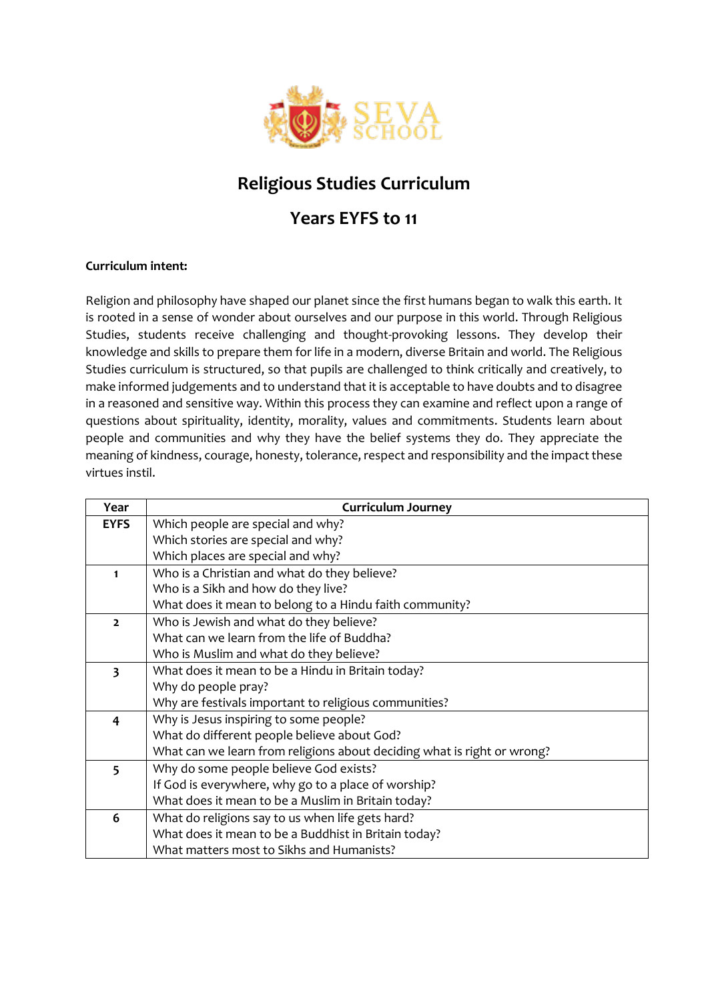

## **Religious Studies Curriculum**

## **Years EYFS to 11**

## **Curriculum intent:**

Religion and philosophy have shaped our planet since the first humans began to walk this earth. It is rooted in a sense of wonder about ourselves and our purpose in this world. Through Religious Studies, students receive challenging and thought-provoking lessons. They develop their knowledge and skills to prepare them for life in a modern, diverse Britain and world. The Religious Studies curriculum is structured, so that pupils are challenged to think critically and creatively, to make informed judgements and to understand that it is acceptable to have doubts and to disagree in a reasoned and sensitive way. Within this process they can examine and reflect upon a range of questions about spirituality, identity, morality, values and commitments. Students learn about people and communities and why they have the belief systems they do. They appreciate the meaning of kindness, courage, honesty, tolerance, respect and responsibility and the impact these virtues instil.

| Year                    | <b>Curriculum Journey</b>                                               |
|-------------------------|-------------------------------------------------------------------------|
| <b>EYFS</b>             | Which people are special and why?                                       |
|                         | Which stories are special and why?                                      |
|                         | Which places are special and why?                                       |
| 1                       | Who is a Christian and what do they believe?                            |
|                         | Who is a Sikh and how do they live?                                     |
|                         | What does it mean to belong to a Hindu faith community?                 |
| $\overline{2}$          | Who is Jewish and what do they believe?                                 |
|                         | What can we learn from the life of Buddha?                              |
|                         | Who is Muslim and what do they believe?                                 |
| $\overline{\mathbf{3}}$ | What does it mean to be a Hindu in Britain today?                       |
|                         | Why do people pray?                                                     |
|                         | Why are festivals important to religious communities?                   |
| 4                       | Why is Jesus inspiring to some people?                                  |
|                         | What do different people believe about God?                             |
|                         | What can we learn from religions about deciding what is right or wrong? |
| 5                       | Why do some people believe God exists?                                  |
|                         | If God is everywhere, why go to a place of worship?                     |
|                         | What does it mean to be a Muslim in Britain today?                      |
| 6                       | What do religions say to us when life gets hard?                        |
|                         | What does it mean to be a Buddhist in Britain today?                    |
|                         | What matters most to Sikhs and Humanists?                               |